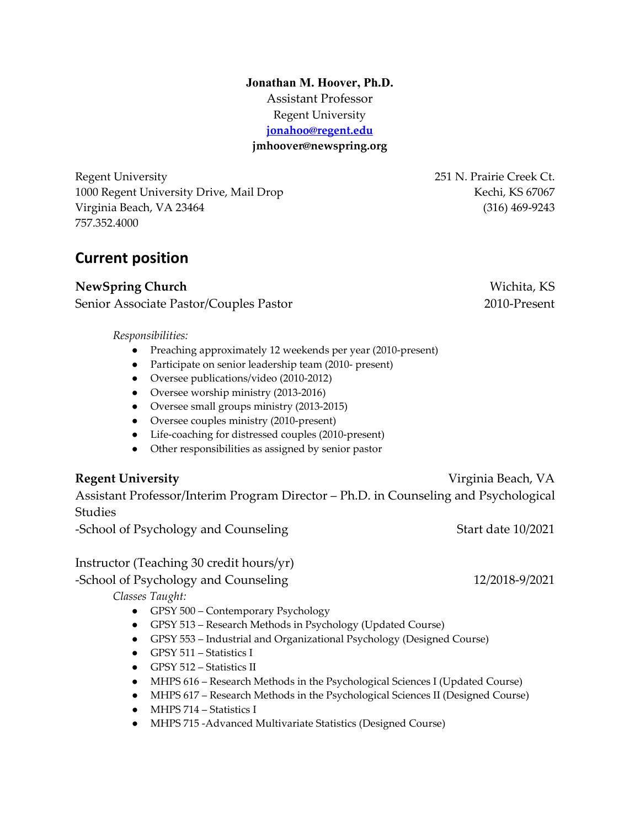**Jonathan M. Hoover, Ph.D.** Assistant Professor Regent University **[jonahoo@regent.edu](mailto:jonahoo@regent.edu) jmhoover@newspring.org**

Regent University 251 N. Prairie Creek Ct. 1000 Regent University Drive, Mail Drop Nechi, KS 67067 Virginia Beach, VA 23464 (316) 469-9243 757.352.4000

# **Current position**

**NewSpring Church** Wichita, KS Senior Associate Pastor/Couples Pastor 2010-Present

*Responsibilities:*

- Preaching approximately 12 weekends per year (2010-present)
- Participate on senior leadership team (2010- present)
- Oversee publications/video (2010-2012)
- Oversee worship ministry (2013-2016)
- Oversee small groups ministry (2013-2015)
- Oversee couples ministry (2010-present)
- Life-coaching for distressed couples (2010-present)
- Other responsibilities as assigned by senior pastor

### **Regent University** Virginia Beach, VA

Assistant Professor/Interim Program Director – Ph.D. in Counseling and Psychological Studies

-School of Psychology and Counseling Start date 10/2021

Instructor (Teaching 30 credit hours/yr)

#### -School of Psychology and Counseling 12/2018-9/2021

*Classes Taught:*

- GPSY 500 Contemporary Psychology
- GPSY 513 Research Methods in Psychology (Updated Course)
- GPSY 553 Industrial and Organizational Psychology (Designed Course)
- GPSY 511 Statistics I
- GPSY 512 Statistics II
- MHPS 616 Research Methods in the Psychological Sciences I (Updated Course)
- MHPS 617 Research Methods in the Psychological Sciences II (Designed Course)
- MHPS 714 Statistics I
- MHPS 715 -Advanced Multivariate Statistics (Designed Course)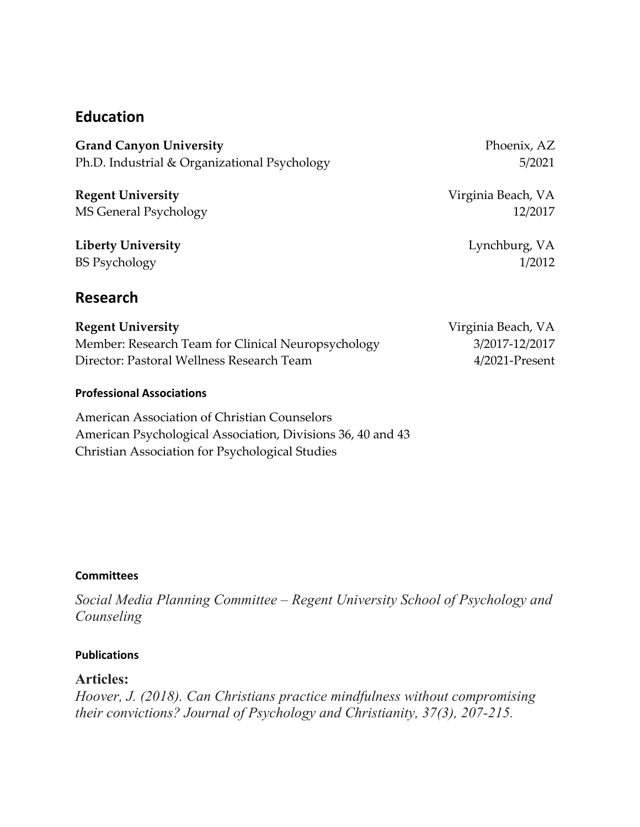### **Education**

Grand Canyon University **Phoenix, AZ** Ph.D. Industrial & Organizational Psychology 5/2021

**Regent University** Virginia Beach, VA MS General Psychology 12/2017

**Liberty University** Lynchburg, VA BS Psychology 1/2012

**Research**

**Regent University Virginia Beach, VA** Member: Research Team for Clinical Neuropsychology 3/2017-12/2017 Director: Pastoral Wellness Research Team 4/2021-Present

#### **Professional Associations**

American Association of Christian Counselors American Psychological Association, Divisions 36, 40 and 43 Christian Association for Psychological Studies

#### **Committees**

*Social Media Planning Committee – Regent University School of Psychology and Counseling*

#### **Publications**

#### **Articles:**

*Hoover, J. (2018). Can Christians practice mindfulness without compromising their convictions? Journal of Psychology and Christianity, 37(3), 207-215.*